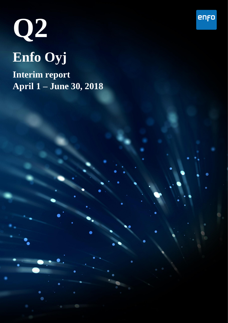

**Interim report April 1 – June 30, 2018**

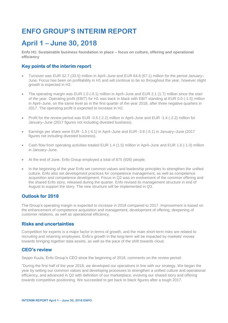# **ENFO GROUP'S INTERIM REPORT**

## **April 1 – June 30, 2018**

**Enfo H1: Sustainable business foundation in place – focus on culture, offering and operational efficiency**

### **Key points of the interim report**

- Turnover was EUR 32.7 (33.5) million in April–June and EUR 64.8 (67.1) million for the period January– June. Focus has been on profitability in H1 and will continue to be so throughout the year, however slight growth is expected in H2.
- The operating margin was EUR 1.0 (-0.1) million in April–June and EUR 2.1 (1.7) million since the start of the year. Operating profit (EBIT) for H1 was back in black with EBIT standing at EUR 0.0 (-1.5) million in April–June, on the same level as in the first quarter of the year 2018, after three negative quarters in 2017. The operating profit is expected to increase in H2.
- Profit for the review period was EUR -0.5 (-2.2) million in April–June and EUR -1.4 (-2.2) million for January–June (2017 figures not including divested business).
- Earnings per share were EUR -1.5 (-4.1) in April–June and EUR -3.8 (-5.1) in January–June (2017 figures not including divested business).
- Cash flow from operating activities totaled EUR 1.4 (1.5) million in April–June and EUR 1.6 (-1.0) million in January–June.
- At the end of June, Enfo Group employed a total of 875 (926) people.
- In the beginning of the year Enfo set common values and leadership principles to strengthen the unified culture. Enfo also set development practices for competence management, as well as competence acquisition and competence development. Focus in Q2 was on evolvement of the common offering and the shared Enfo story, released during the quarter. Enfo revised its management structure in end of August to support the story. The new structure will be implemented in Q3.

### **Outlook for 2018**

The Group's operating margin is expected to increase in 2018 compared to 2017. Improvement is based on the enhancement of competence acquisition and management, development of offering, deepening of customer relations, as well as operational efficiency.

#### **Risks and uncertainties**

Competition for experts is a major factor in terms of growth, and the main short-term risks are related to recruiting and retaining employees. Enfo's growth in the long-term will be impacted by markets' moves towards bringing together data assets, as well as the pace of the shift towards cloud.

#### **CEO's review**

Seppo Kuula, Enfo Group's CEO since the beginning of 2018, comments on the review period:

"During the first half of the year 2018, we developed our operations in line with our strategy. We began the year by setting our common values and developing processes to strengthen a unified culture and operational efficiency, and advanced in Q2 with definition of our marketplace, evolving our shared story and offering towards competitive positioning. We succeeded to get back to black figures after a tough 2017.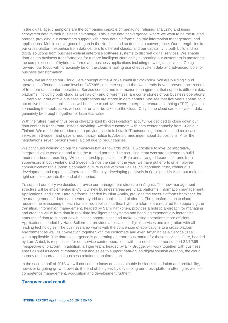In the digital age, champions are the companies capable of managing, refining, analyzing and using ecosystem data to their business advantage. This is the data convergence, where we want to be the trusted partner, providing our customers support with cross-data platforms, holistic information management, and applications. Mobile convergence began in the Nordics, and so does data convergence. Our strength lies in our cross-platform expertise from data centers to different clouds, and our capability to both build and run digital solutions from business-critical enterprise software systems to discreet digital services. We enable data-driven business transformation for a more intelligent Nordics by supporting our customers in mastering the complex scene of hybrid platforms and business applications including new digital services. Going forward, our focus will increasingly be on the cloud, enabling use of ecosystem data and advanced tools for business transformation.

In May, we launched our Cloud Care concept at the AWS summit in Stockholm. We are building cloud operations offering the same level of 24/7/365 customer support that we already have a proven track record of from our data center operations. Service centers and information management that supports different data platforms, including both cloud as well as on- and off-premises, are cornerstones of our business operations. Currently four out of five business applications are stored in data centers. We see that five years ahead, four out of five business applications will be in the cloud. Moreover, enterprise resource planning (ERP) systems connecting the applications will sooner or later be taken to the cloud. Only in the cloud can ecosystem data genuinely be brought together for business value.

With the future market thus being characterized by cross-platform activity, we decided to close down our data center in Karlskrona, instead providing Swedish customers with data center capacity from Kuopio in Finland. We made the decision not to provide classic full-stack IT outsourcing operations and co-location services in Sweden and gave a redundancy notice to Arbetsförmedlingen about 15 positions. After the negotiations seven persons were laid off due to redundancies.

We continued working on our the must-win battles towards 2020: a workplace to love; collaborative, integrated value creation; and to be the trusted partner. The recruiting team was strengthened to build modern in-bound recruiting. We set leadership principles for Enfo and arranged Leaders' forums for all supervisors in both Finland and Sweden. Since the start of the year, we have put efforts on employee communications to support a common culture in line with our values; collaboration, trust, continuous development and expertise. Operational efficiency, developing positively in Q1, dipped in April, but took the right direction towards the end of the period.

To support our story we decided to revise our management structure in August. The new management structure will be implemented in Q3. Our new business areas are: Data platforms, Information management, Applications, and Care. Data platforms, headed by Nina Annila, provides the cross-platforms backbone for the management of data: data center, hybrid and public cloud platforms. The transformation to cloud requires the revisioning of each transferred application, thus hybrid platforms are required for supporting the transition. Information management, headed by Sami Kähkönen, provides a holistic approach for managing and creating value from data in real-time intelligent ecosystems and handling exponentially increasing amounts of data to support new business opportunities and make existing operations more efficient. Applications, headed by Hans Sollerman, provides applications, digital services and integration with all leading technologies. The business area works with the conversion of applications to a cross-platform environment as well as co-creation together with the customers and even Anything as a Service (XaaS) when applicable. The data convergence is generating an enormous market for these services. Care, headed by Lars Aabol, is responsible for our service center operations with top-notch customer support 24/7/365 irrespective of platform. In addition, a Tiger team, headed by Erik Brügge, will work together with business areas as well as account management and sales to support data-driven digital solution creation, the cloud journey and co-creational business relations transformation.

In the second half of 2018 we will continue to focus on a sustainable business foundation and profitability, however targeting growth towards the end of the year, by developing our cross-platform offering as well as competence management, acquisition and development further."

#### **Turnover and result**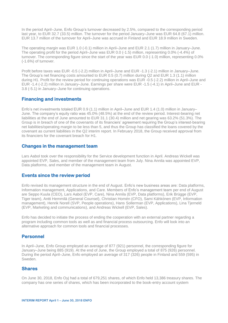In the period April–June, Enfo Group's turnover decreased by 2.5%, compared to the corresponding period last year, to EUR 32.7 (33.5) million. The turnover for the period January–June was EUR 64.8 (67.1) million. EUR 13.7 million of the turnover for April–June was accrued in Finland and EUR 18.9 million in Sweden.

The operating margin was EUR 1.0 (-0.1) million in April–June and EUR 2.1 (1.7) million in January–June. The operating profit for the period April–June was EUR 0.0 (-1.5) million, representing 0.0% (-4.4%) of turnover. The corresponding figure since the start of the year was EUR 0.0 (-1.0) million, representing 0.0% (-1.6%) of turnover.

Profit before taxes was EUR -0.5 (-2.2) million in April–June and EUR -1.3 (-2.1) million in January–June. The Group's net financing costs amounted to EUR 0.5 (0.7) million during Q2 and EUR 1.3 (1.1) million during H1. Profit for the review period for continuing operations was EUR -0.5 (-2.2) million in April–June and EUR -1.4 (-2.2) million in January–June. Earnings per share were EUR -1.5 (-4.1) in April–June and EUR - 3.8 (-5.1) in January–June for continuing operations.

#### **Financing and investments**

Enfo's net investments totaled EUR 0.9 (1.1) million in April–June and EUR 1.4 (1.0) million in January– June. The company's equity ratio was 45.0% (48.5%) at the end of the review period. Interest-bearing net liabilities at the end of June amounted to EUR 31.1 (30.4) million and net gearing was 63.2% (51.3%). The Group is in breach of one of the covenants of its financiers' agreement requiring the Group's interest-bearing net liabilities/operating margin to be less than 5, and thus the Group has classified the loans covered by the covenant as current liabilities in the Q2 interim report. In February 2018, the Group received approval from its financiers for the covenant breach for H1.

#### **Changes in the management team**

Lars Aabol took over the responsibility for the Service development function in April. Andreas Wickell was appointed EVP, Sales, and member of the management team from July. Nina Annila was appointed EVP, Data platforms, and member of the management team in August.

#### **Events since the review period**

Enfo revised its management structure in the end of August. Enfo's new business areas are: Data platforms, Information management, Applications, and Care. Members of Enfo's management team per end of August are Seppo Kuula (CEO), Lars Aabol (EVP, Care), Nina Annila (EVP, Data platforms), Erik Brügge (EVP, Tiger team), Antti Hemmilä (General Counsel), Christian Homén (CFO), Sami Kähkönen (EVP, Information management), Henrik Norell (SVP, People operations), Hans Sollerman (EVP, Applications), Lina Tjerneld (EVP, Marketing and communications), and Andreas Wickell (EVP, Sales).

Enfo has decided to initiate the process of ending the cooperation with an external partner regarding a program including common tools as well as and financial process outsourcing. Enfo will look into an alternative approach for common tools and financial processes.

#### **Personnel**

In April–June, Enfo Group employed an average of 877 (921) personnel, the corresponding figure for January–June being 885 (919). At the end of June, the Group employed a total of 875 (926) personnel. During the period April–June, Enfo employed an average of 317 (326) people in Finland and 559 (595) in Sweden.

#### **Shares**

On June 30, 2018, Enfo Oyj had a total of 679,251 shares, of which Enfo held 13,386 treasury shares. The company has one series of shares, which has been incorporated to the book-entry account system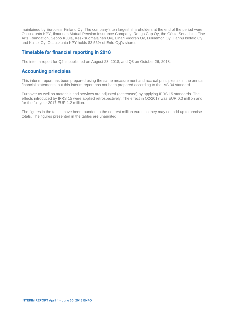maintained by Euroclear Finland Oy. The company's ten largest shareholders at the end of the period were: Osuuskunta KPY, Ilmarinen Mutual Pension Insurance Company, Rongo Cap Oy, the Gösta Serlachius Fine Arts Foundation, Seppo Kuula, Keskisuomalainen Oyj, Einari Vidgrén Oy, Lululemon Oy, Hannu Isotalo Oy and Kallax Oy. Osuuskunta KPY holds 83.56% of Enfo Oyj's shares.

### **Timetable for financial reporting in 2018**

The interim report for Q2 is published on August 23, 2018, and Q3 on October 26, 2018.

#### **Accounting principles**

This interim report has been prepared using the same measurement and accrual principles as in the annual financial statements, but this interim report has not been prepared according to the IAS 34 standard.

Turnover as well as materials and services are adjusted (decreased) by applying IFRS 15 standards. The effects introduced by IFRS 15 were applied retrospectively. The effect in Q2/2017 was EUR 0.3 million and for the full year 2017 EUR 1.2 million.

The figures in the tables have been rounded to the nearest million euros so they may not add up to precise totals. The figures presented in the tables are unaudited.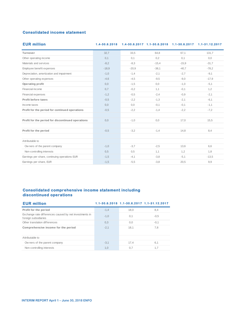### **Consolidated income statement**

| <b>Consolidated income statement</b>              |         |         |         |         |                                                                            |
|---------------------------------------------------|---------|---------|---------|---------|----------------------------------------------------------------------------|
| <b>EUR million</b>                                |         |         |         |         | 1.4-30.6.2018  1.4-30.6.2017  1.1-30.6.2018  1.1-30.6.2017  1.1-31.12.2017 |
| Turnover                                          | 32,7    | 33,5    | 64,8    | 67,1    | 131,7                                                                      |
| Other operating income                            | 0,1     | 0,1     | 0,2     | 0,1     | 0,0                                                                        |
| Materials and services                            | $-8,2$  | $-8,3$  | $-15,4$ | $-15,9$ | $-31,7$                                                                    |
| Employee benefit expenses                         | $-18,9$ | $-20,9$ | $-38,1$ | $-40,7$ | $-78,2$                                                                    |
| Depreciation, amortization and impairment         | $-1,0$  | $-1,4$  | $-2,1$  | $-2,7$  | $-9,1$                                                                     |
| Other operating expenses                          | $-4,6$  | $-4,5$  | $-9,5$  | $-9,0$  | $-17,9$                                                                    |
| Operating profit                                  | 0,0     | $-1,5$  | 0,0     | $-1,0$  | $-5,1$                                                                     |
| Financial income                                  | 0.7     | $-0,2$  | 1,1     | $-0,1$  | 1,2                                                                        |
| Financial expenses                                | $-1,2$  | $-0.5$  | $-2.4$  | $-0.9$  | $-2.1$                                                                     |
| Profit before taxes                               | $-0.5$  | $-2,2$  | $-1,3$  | $-2.1$  | $-6,1$                                                                     |
| Income taxes                                      | 0,0     | 0,0     | $-0,1$  | $-0,1$  | $-1,1$                                                                     |
| Profit for the period for continued operations    | $-0,5$  | $-2,2$  | $-1,4$  | $-2,2$  | $-7,2$                                                                     |
| Profit for the period for discontinued operations | 0,0     | $-1,0$  | 0,0     | 17,0    | 15,5                                                                       |
| Profit for the period                             | $-0.5$  | $-3,2$  | $-1,4$  | 14,8    | 8,4                                                                        |
| Attributable to                                   |         |         |         |         |                                                                            |
| Ow ners of the parent company                     | $-1,0$  | $-3,7$  | $-2,5$  | 13,6    | 6,6                                                                        |
| Non-controlling interests                         | 0,5     | 0,5     | 1,1     | 1,2     | 1,8                                                                        |
| Earnings per share, continuing operations EUR     | $-1,5$  | $-4,1$  | $-3,8$  | $-5,1$  | $-13,5$                                                                    |
| Earnings per share, EUR                           | $-1,5$  | $-5,5$  | $-3,8$  | 20,5    | 9,9                                                                        |

# **Consolidated comprehensive income statement including**

| <u>UUNSUNUALEU CUMPI ENENSIVE MUUMIE SLALEMENL MUULUUMIN</u><br>discontinued operations |        |      |                                            |  |  |  |  |  |
|-----------------------------------------------------------------------------------------|--------|------|--------------------------------------------|--|--|--|--|--|
| <b>EUR million</b>                                                                      |        |      | 1.1-30.6.2018 1.1-30.6.2017 1.1-31.12.2017 |  |  |  |  |  |
| Profit for the period                                                                   | $-1,4$ | 18,0 | 8,4                                        |  |  |  |  |  |
| Exchange rate differences caused by net investments in<br>foreign subsidiaries          | $-1,0$ | 0,1  | $-0.5$                                     |  |  |  |  |  |
| Other translation differences                                                           | 0.3    | 0.0  | $-0.1$                                     |  |  |  |  |  |
| Comprehensive income for the period                                                     | $-2,1$ | 18,1 | 7,8                                        |  |  |  |  |  |
| Attributable to                                                                         |        |      |                                            |  |  |  |  |  |
| Owners of the parent company                                                            | $-3.1$ | 17,4 | 6,1                                        |  |  |  |  |  |
| Non-controlling interests                                                               | 1,0    | 0,7  | 1,7                                        |  |  |  |  |  |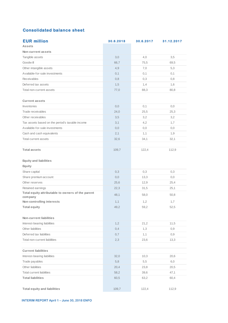| <b>Consolidated balance sheet</b>                            |           |           |            |
|--------------------------------------------------------------|-----------|-----------|------------|
| <b>EUR million</b>                                           | 30.6.2018 | 30.6.2017 | 31.12.2017 |
| <b>Assets</b>                                                |           |           |            |
| Non-current assets                                           |           |           |            |
| Tangible assets                                              | 3,0       | 4,0       | 3,5        |
| Goodwill                                                     | 66,7      | 75,5      | 69,5       |
| Other intangible assets                                      | 4,9       | 7,0       | 5,3        |
| Available-for-sale investments                               | 0,1       | 0,1       | 0,1        |
| <b>Receivables</b>                                           | 0,8       | 0,3       | 0,8        |
| Deferred tax assets                                          | 1,5       | 1,4       | 1,6        |
| Total non-current assets                                     | 77,0      | 88,3      | 80,8       |
| <b>Current assets</b>                                        |           |           |            |
| Inventories                                                  | 0,0       | 0,1       | 0,0        |
| Trade receivables                                            | 24,0      | 25,5      | 25,3       |
| Other receivables                                            | 3,5       | 3,2       | 3,2        |
| Tax assets based on the period's taxable income              | 3,1       | 4,2       | 1,7        |
| Available-for-sale investments                               | 0,0       | 0,0       | 0, 0       |
| Cash and cash equivalents                                    | 2,1       | 1,1       | 1,9        |
| <b>Total current assets</b>                                  | 32,6      | 34,1      | 32,1       |
|                                                              |           |           |            |
| <b>Total assets</b>                                          | 109,7     | 122,4     | 112,9      |
|                                                              |           |           |            |
| <b>Equity and liabilities</b>                                |           |           |            |
| Equity                                                       |           |           |            |
| Share capital                                                | 0,3       | 0,3       | 0,3        |
| Share premium account                                        | 0,0       | 13,3      | 0, 0       |
| Other reserves                                               | 25,6      | 12,9      | 25,4       |
| Retained earnings                                            | 22,3      | 31,5      | 25,1       |
| Total equity attributable to owners of the parent<br>company | 48,1      | 58,0      | 50,8       |
| Non-controlling interests                                    | 1,1       | 1,2       | 1,7        |
| <b>Total equity</b>                                          | 49,2      | 59,2      | 52,5       |
|                                                              |           |           |            |
| Non-current liabilities                                      |           |           |            |
| Interest-bearing liabilities                                 | 1,2       | 21,2      | 11,5       |
| Other liabilities                                            | 0,4       | 1,3       | 0,9        |
| Deferred tax liabilities                                     | 0,7       | 1,1       | 0,9        |
| Total non-current liabilities                                | 2,3       | 23,6      | 13,3       |
|                                                              |           |           |            |
| <b>Current liabilities</b>                                   |           |           |            |
| Interest-bearing liabilities                                 | 32,0      | 10,3      | 20,6       |
| Trade payables                                               | 5,8       | 5,5       | 6,0        |
| Other liabilities                                            | 20,4      | 23,8      | 20,5       |
| <b>Total current liabilities</b>                             | 58,2      | 39,6      | 47,1       |
| <b>Total liabilities</b>                                     | 60,5      | 63,2      | 60,4       |
| <b>Total equity and liabilities</b>                          | 109,7     | 122,4     | 112,9      |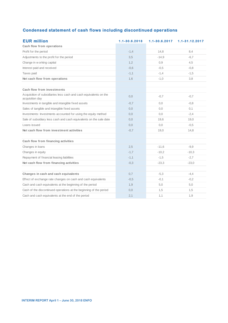#### **Condensed statement of cash flows including discontinued operations**

| <b>Condensed statement of cash flows including discontinued operations</b>           |               |               |                |  |  |  |  |  |
|--------------------------------------------------------------------------------------|---------------|---------------|----------------|--|--|--|--|--|
| <b>EUR million</b>                                                                   | 1.1-30.6.2018 | 1.1-30.6.2017 | 1.1-31.12.2017 |  |  |  |  |  |
| Cash flow from operations                                                            |               |               |                |  |  |  |  |  |
| Profit for the period                                                                | $-1,4$        | 14,8          | 8,4            |  |  |  |  |  |
| Adjustments to the profit for the period                                             | 3,5           | $-14,9$       | $-6,7$         |  |  |  |  |  |
| Change in w orking capital                                                           | 1,2           | 0,9           | 4,5            |  |  |  |  |  |
| Interest paid and received                                                           | $-0,6$        | $-0.5$        | $-0.8$         |  |  |  |  |  |
| Taxes paid                                                                           | $-1,1$        | $-1,4$        | $-1,5$         |  |  |  |  |  |
| Net cash flow from operations                                                        | 1,6           | $-1,0$        | 3,8            |  |  |  |  |  |
|                                                                                      |               |               |                |  |  |  |  |  |
| Cash flow from investments                                                           |               |               |                |  |  |  |  |  |
| Acquisition of subsidiaries less cash and cash equivalents on the<br>acquisition day | 0,0           | $-0,7$        | $-0.7$         |  |  |  |  |  |
| Investments in tangible and intangible fixed assets                                  | $-0,7$        | 0, 0          | $-0.8$         |  |  |  |  |  |
| Sales of tangible and intangible fixed assets                                        | 0,0           | 0,0           | 0,1            |  |  |  |  |  |
| Investments: Investments accounted for using the equity method                       | 0,0           | 0,0           | $-2,4$         |  |  |  |  |  |
| Sale of subsidiary less cash and cash equivalents on the sale date                   | 0,0           | 19,6          | 19,0           |  |  |  |  |  |
| Loans issued                                                                         | 0,0           | 0,0           | $-0,5$         |  |  |  |  |  |
| Net cash flow from investment activities                                             | $-0,7$        | 19,0          | 14,8           |  |  |  |  |  |
|                                                                                      |               |               |                |  |  |  |  |  |
| Cash flow from financing activities                                                  |               |               |                |  |  |  |  |  |
| Changes in loans                                                                     | 2,5           | $-11.6$       | $-9.9$         |  |  |  |  |  |
| Changes in equity                                                                    | $-1,7$        | $-10,2$       | $-10,3$        |  |  |  |  |  |
| Repayment of financial leasing liabilities                                           | $-1,1$        | $-1,5$        | $-2,7$         |  |  |  |  |  |
| Net cash flow from financing activities                                              | $-0.3$        | $-23,3$       | $-23,0$        |  |  |  |  |  |
|                                                                                      |               |               |                |  |  |  |  |  |
| Changes in cash and cash equivalents                                                 | 0,7           | $-5,3$        | $-4,4$         |  |  |  |  |  |
| Effect of exchange rate changes on cash and cash equivalents                         | $-0,5$        | $-0,1$        | $-0,2$         |  |  |  |  |  |
| Cash and cash equivalents at the beginning of the period                             | 1,9           | 5,0           | 5,0            |  |  |  |  |  |
| Cash of the discontinued operations at the beginning of the period                   | 0,0           | 1,5           | 1,5            |  |  |  |  |  |
| Cash and cash equivalents at the end of the period                                   | 2,1           | 1,1           | 1,9            |  |  |  |  |  |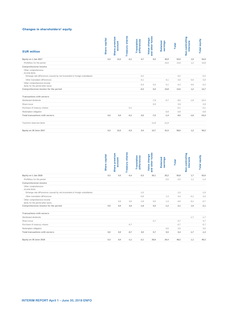#### **Changes in shareholders' equity**

| <b>EUR million</b>                                                                        | <b>Share capital</b> | Share premium<br>account | <b>Treasury shares</b> | Translation<br>differences | and other funds<br>Value change | earnings<br>Retained | Total  | Non-controlling<br><b>interests</b> | Total equity        |
|-------------------------------------------------------------------------------------------|----------------------|--------------------------|------------------------|----------------------------|---------------------------------|----------------------|--------|-------------------------------------|---------------------|
| Equity on 1 Jan 2017                                                                      | 0,3                  | 13,3                     | $-0,1$                 | 0,7                        | 8,0                             | 30,9                 | 53,0   | 1,9                                 | 54,9                |
| Profit/loss for the period                                                                |                      |                          |                        |                            |                                 | 13,6                 | 13,6   | 1,2                                 | 14,8                |
| Comprehensive income                                                                      |                      |                          |                        |                            |                                 |                      |        |                                     |                     |
| Other comprehensive<br>income items                                                       |                      |                          |                        |                            |                                 |                      |        |                                     |                     |
| Exhange rate differences caused by net investment in foreign subsidiaries                 |                      |                          |                        | $-0,2$                     |                                 |                      | $-0,2$ |                                     | $-0,2$              |
| Other translation differences                                                             |                      |                          |                        | $-0,1$                     |                                 | 0,1                  | 0,0    | 0,0                                 | 0,0                 |
| Other comprehensive income                                                                |                      |                          |                        | $-0,3$                     | 0,0                             | 0,1                  | $-0,2$ | 0,0                                 | $-0,2$              |
| items for the period after taxes                                                          |                      |                          |                        |                            |                                 |                      |        |                                     |                     |
| Comprehensive income for the period                                                       |                      |                          |                        | $-0,3$                     | $_{0,0}$                        | 13,8                 | 13,5   | 1,2                                 | 14,7                |
| Transactions with owners                                                                  |                      |                          |                        |                            |                                 |                      |        |                                     |                     |
| Distributed dividends                                                                     |                      |                          |                        |                            | $-7,9$                          | $-0,7$               | $-8,5$ | $-1,8$                              | $-10,4$             |
| Share issue                                                                               |                      |                          |                        |                            | 0,9                             |                      | 0,9    |                                     | 0,9                 |
| Purchase of treasury shares                                                               |                      |                          | $-0,1$                 |                            |                                 |                      | $-0,1$ |                                     | $-0,1$              |
| Redemption obligation                                                                     |                      |                          |                        |                            |                                 | $-0,8$               | $-0,8$ |                                     | $-0,8$              |
| Total transactions with owners                                                            | $_{0,0}$             | $_{0,0}$                 | $-0,1$                 | $_{0,0}$                   | $-7,0$                          | $-1,4$               | $-8,5$ | $-1,8$                              | $-10,4$             |
| Transfers betw een items                                                                  |                      |                          |                        |                            | 11,8                            | $-11,8$              |        |                                     |                     |
| Equity on 30 June 2017                                                                    | 0,3                  | 13,3                     | $-0,3$                 | 0,4                        | 12,7                            | 31,5                 | 58,0   | 1,2                                 | 59,2                |
|                                                                                           | <b>Share capital</b> | Share premium<br>account | <b>Treasury shares</b> | Translation<br>differences | and other funds<br>Value change | Retained<br>earnings | Total  | Non-controlling<br><b>interests</b> | <b>Total equity</b> |
| Equity on 1 Jan 2018                                                                      | 0,3                  | 0,0                      | $-0,4$                 | $-0,3$                     | 26,1                            | 25,2                 | 50,8   | 1,7                                 | 52,6                |
| Profit/loss for the period                                                                |                      |                          |                        |                            |                                 | $-2,5$               | $-2,5$ | 1,1                                 | $-1,4$              |
| Comprehensive income<br>Other comprehensive                                               |                      |                          |                        |                            |                                 |                      |        |                                     |                     |
| income items<br>Exhange rate differences caused by net investment in foreign subsidiaries |                      |                          |                        | $-1,0$                     |                                 |                      | $-1,0$ |                                     | $-1,0$              |
|                                                                                           |                      |                          |                        |                            |                                 |                      |        |                                     |                     |
| Other translation differences<br>Other comprehensive income                               |                      |                          |                        | $-0,9$                     |                                 | 1,3                  | 0,4    | $-0,1$                              | 0,3                 |
| items for the period after taxes                                                          |                      | 0, 0                     | 0,0                    | $-1,8$                     | 0,0                             | 1,3                  | $-0,6$ | $-0,1$                              | $-0,7$              |
| Comprehensive income for the period                                                       | 0,0                  | 0,0                      | 0,0                    | $-1,8$                     | 0,0                             | $-1,2$               | $-3,1$ | 1,0                                 |                     |
| Transactions with owners                                                                  |                      |                          |                        |                            |                                 |                      |        |                                     | $-2,1$              |
| Distributed dividends                                                                     |                      |                          |                        |                            |                                 |                      |        |                                     |                     |
|                                                                                           |                      |                          |                        |                            |                                 |                      |        | $-1,7$                              |                     |
| Share issue                                                                               |                      |                          |                        |                            | 0,7                             |                      | 0,7    |                                     | $-1,7$<br>0,7       |
| Purchase of treasury shares                                                               |                      |                          | $-0,7$                 |                            |                                 |                      | $-0,7$ |                                     | $-0,7$              |
| Redemption obligation                                                                     |                      |                          |                        |                            |                                 | 0,5                  | 0,5    |                                     | 0,5                 |
| Total transactions with owners                                                            | $_{0,0}$             | $_{0,0}$                 | $-0,7$                 | $_{0,0}$                   | 0,7                             | 0,5                  | 0,4    | $-1,7$                              | $-1,3$              |

|                                                                           | capital<br><b>Share</b> | premium<br>count<br>မ္ထ<br><b>Share</b> | shares<br>Treasury | <b>Translation</b><br>differences | funds<br>۰<br>ā<br>Su<br>and other<br>튱<br>Value | Retained<br>earnings | <b>Total</b> | Non-controlling<br><b>interests</b> | Total equity |
|---------------------------------------------------------------------------|-------------------------|-----------------------------------------|--------------------|-----------------------------------|--------------------------------------------------|----------------------|--------------|-------------------------------------|--------------|
| Equity on 1 Jan 2018                                                      | 0,3                     | 0,0                                     | $-0,4$             | $-0,3$                            | 26,1                                             | 25,2                 | 50,8         | 1,7                                 | 52,6         |
| Profit/loss for the period                                                |                         |                                         |                    |                                   |                                                  | $-2,5$               | $-2,5$       | 1,1                                 | $-1,4$       |
| Comprehensive income                                                      |                         |                                         |                    |                                   |                                                  |                      |              |                                     |              |
| Other comprehensive<br>income items                                       |                         |                                         |                    |                                   |                                                  |                      |              |                                     |              |
| Exhange rate differences caused by net investment in foreign subsidiaries |                         |                                         |                    | $-1,0$                            |                                                  |                      | $-1,0$       |                                     | $-1,0$       |
| Other translation differences                                             |                         |                                         |                    | $-0.9$                            |                                                  | 1.3                  | 0.4          | $-0.1$                              | 0,3          |
| Other comprehensive income                                                |                         | 0,0                                     | 0,0                | $-1,8$                            | 0,0                                              | 1,3                  | $-0,6$       | $-0.1$                              | $-0,7$       |
| items for the period after taxes                                          |                         |                                         |                    |                                   |                                                  |                      |              |                                     |              |
| Comprehensive income for the period                                       | 0.0                     | 0.0                                     | 0,0                | $-1,8$                            | 0,0                                              | $-1,2$               | $-3,1$       | 1,0                                 | $-2,1$       |
| Transactions with owners                                                  |                         |                                         |                    |                                   |                                                  |                      |              |                                     |              |
| Distributed dividends                                                     |                         |                                         |                    |                                   |                                                  |                      |              | $-1,7$                              | $-1,7$       |
| Share issue                                                               |                         |                                         |                    |                                   | 0,7                                              |                      | 0,7          |                                     | 0,7          |
| Purchase of treasury shares                                               |                         |                                         | $-0,7$             |                                   |                                                  |                      | $-0.7$       |                                     | $-0,7$       |
| Redemption obligation                                                     |                         |                                         |                    |                                   |                                                  | 0,5                  | 0,5          |                                     | 0,5          |
| Total transactions with owners                                            | 0,0                     | 0,0                                     | $-0,7$             | 0,0                               | 0,7                                              | 0,5                  | 0,4          | $-1,7$                              | $-1,3$       |
| Equity on 30 June 2018                                                    | 0,3                     | 0,0                                     | $-1,1$             | $-2,1$                            | 26,8                                             | 24,4                 | 48,2         | 1,1                                 | 49,2         |
|                                                                           |                         |                                         |                    |                                   |                                                  |                      |              |                                     |              |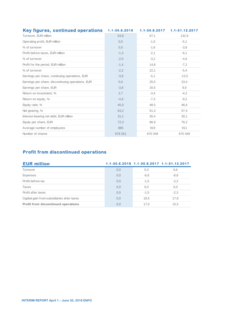| <b>Key figures, continued operations</b>          | 1.1-30.6.2018 | $1.1 - 30.6.2017$ | 1.1-31.12.2017 |
|---------------------------------------------------|---------------|-------------------|----------------|
| Turnover, EUR million                             | 64,8          | 67.1              | 132,9          |
| Operating profit, EUR million                     | 0,0           | $-1,0$            | $-5,1$         |
| % of turnover                                     | 0,0           | $-1,6$            | $-3,8$         |
| Profit before taxes, EUR million                  | $-1,3$        | $-2,1$            | $-6,1$         |
| % of turnover                                     | $-2,0$        | $-3,2$            | $-4.6$         |
| Profit for the period, EUR million                | $-1,4$        | 14,8              | $-7,2$         |
| % of turnover                                     | $-2,2$        | 22.1              | $-5,4$         |
| Earnings per share, continuing operations, EUR    | $-3,8$        | $-5,1$            | $-13.5$        |
| Earnings per share, discontinuing operations, EUR | 0,0           | 25,5              | 23,4           |
| Earnings per share, EUR                           | $-3,8$        | 20,5              | 9,9            |
| Return on investment, %                           | 2,7           | $-3,4$            | $-4,2$         |
| Return on equity, %                               | $-4,6$        | $-7,3$            | $-9,2$         |
| Equity ratio, %                                   | 45,0          | 48,5              | 46,6           |
| Net gearing, %                                    | 63,2          | 51,3              | 57,4           |
| Interest-bearing net debt, EUR million            | 31,1          | 30,4              | 30,1           |
| Equity per share, EUR                             | 72,3          | 86.9              | 76.2           |
| Average number of employees                       | 885           | 919               | 911            |
| Number of shares                                  | 679 251       | 670 349           | 670 349        |

| <b>Profit from discontinued operations</b> |     |        |                                            |  |  |  |  |  |
|--------------------------------------------|-----|--------|--------------------------------------------|--|--|--|--|--|
| <b>EUR million</b>                         |     |        | 1.1-30.6.2018 1.1-30.6.2017 1.1-31.12.2017 |  |  |  |  |  |
| Turnover                                   | 0,0 | 5,3    | 6,6                                        |  |  |  |  |  |
| <b>Expenses</b>                            | 0,0 | $-6,8$ | $-8,8$                                     |  |  |  |  |  |
| Profit before tax                          | 0,0 | $-1,5$ | $-2,2$                                     |  |  |  |  |  |
| Taxes                                      | 0,0 | 0,0    | 0,0                                        |  |  |  |  |  |
| Profit after taxes                         | 0,0 | $-1,5$ | $-2,3$                                     |  |  |  |  |  |
| Capital gain from subsidiaries after taxes | 0,0 | 18,5   | 17,8                                       |  |  |  |  |  |
| Profit from discontinued operations        | 0,0 | 17.0   | 15,5                                       |  |  |  |  |  |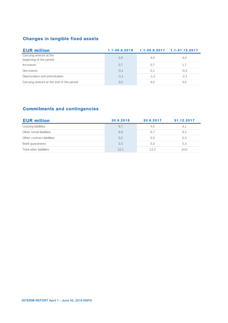| <b>Changes in tangible fixed assets</b>           |               |                   |                    |  |  |  |  |  |  |
|---------------------------------------------------|---------------|-------------------|--------------------|--|--|--|--|--|--|
| <b>EUR million</b>                                | 1.1-30.6.2018 | $1.1 - 30.6.2017$ | $1.1 - 31.12.2017$ |  |  |  |  |  |  |
| Carrying amount at the<br>beginning of the period | 3,5           | 4,4               | 4,4                |  |  |  |  |  |  |
| <b>Increases</b>                                  | 0,7           | 0,7               | 1,7                |  |  |  |  |  |  |
| Decreases                                         | $-0,1$        | 0,1               | $-0.3$             |  |  |  |  |  |  |
| Depreciation and amortisation                     | $-1.1$        | $-1.2$            | $-2,3$             |  |  |  |  |  |  |
| Carrying amount at the end of the period          | 3,0           | 4,0               | 3,5                |  |  |  |  |  |  |

| <b>Commitments and contingencies</b> |           |           |            |  |  |  |  |  |
|--------------------------------------|-----------|-----------|------------|--|--|--|--|--|
| <b>EUR million</b>                   | 30.6.2018 | 30.6.2017 | 31.12.2017 |  |  |  |  |  |
| Leasing liabilities                  | 4,7       | 4,0       | 4,1        |  |  |  |  |  |
| Other rental liabilities             | 6,9       | 8,7       | 9,3        |  |  |  |  |  |
| Other contract liabilities           | 0,2       | 0,3       | 0,3        |  |  |  |  |  |
| Bank guarantees                      | 0,3       | 0,3       | 0,3        |  |  |  |  |  |
| Total other liabilities              | 12,1      | 13,3      | 14,0       |  |  |  |  |  |